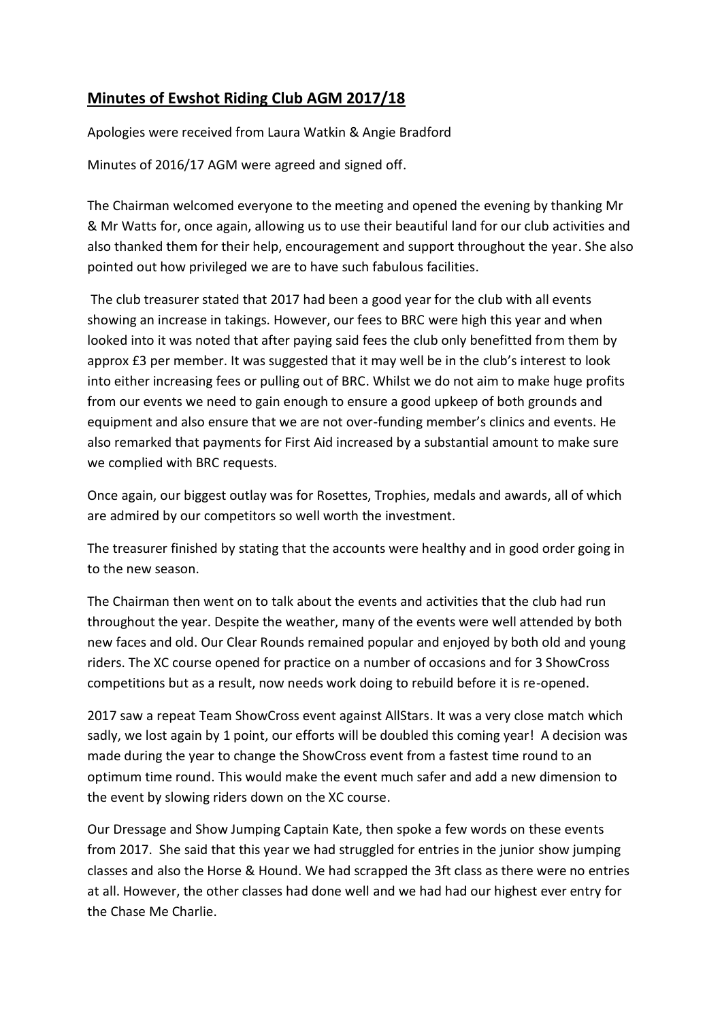## **Minutes of Ewshot Riding Club AGM 2017/18**

Apologies were received from Laura Watkin & Angie Bradford

Minutes of 2016/17 AGM were agreed and signed off.

The Chairman welcomed everyone to the meeting and opened the evening by thanking Mr & Mr Watts for, once again, allowing us to use their beautiful land for our club activities and also thanked them for their help, encouragement and support throughout the year. She also pointed out how privileged we are to have such fabulous facilities.

The club treasurer stated that 2017 had been a good year for the club with all events showing an increase in takings. However, our fees to BRC were high this year and when looked into it was noted that after paying said fees the club only benefitted from them by approx £3 per member. It was suggested that it may well be in the club's interest to look into either increasing fees or pulling out of BRC. Whilst we do not aim to make huge profits from our events we need to gain enough to ensure a good upkeep of both grounds and equipment and also ensure that we are not over-funding member's clinics and events. He also remarked that payments for First Aid increased by a substantial amount to make sure we complied with BRC requests.

Once again, our biggest outlay was for Rosettes, Trophies, medals and awards, all of which are admired by our competitors so well worth the investment.

The treasurer finished by stating that the accounts were healthy and in good order going in to the new season.

The Chairman then went on to talk about the events and activities that the club had run throughout the year. Despite the weather, many of the events were well attended by both new faces and old. Our Clear Rounds remained popular and enjoyed by both old and young riders. The XC course opened for practice on a number of occasions and for 3 ShowCross competitions but as a result, now needs work doing to rebuild before it is re-opened.

2017 saw a repeat Team ShowCross event against AllStars. It was a very close match which sadly, we lost again by 1 point, our efforts will be doubled this coming year! A decision was made during the year to change the ShowCross event from a fastest time round to an optimum time round. This would make the event much safer and add a new dimension to the event by slowing riders down on the XC course.

Our Dressage and Show Jumping Captain Kate, then spoke a few words on these events from 2017. She said that this year we had struggled for entries in the junior show jumping classes and also the Horse & Hound. We had scrapped the 3ft class as there were no entries at all. However, the other classes had done well and we had had our highest ever entry for the Chase Me Charlie.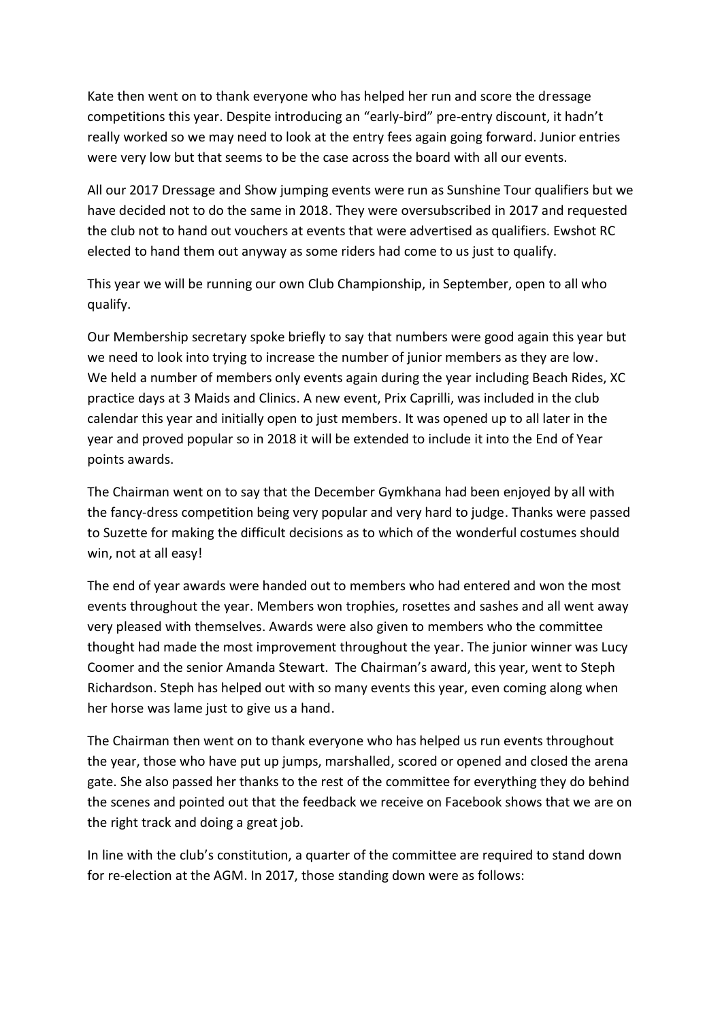Kate then went on to thank everyone who has helped her run and score the dressage competitions this year. Despite introducing an "early-bird" pre-entry discount, it hadn't really worked so we may need to look at the entry fees again going forward. Junior entries were very low but that seems to be the case across the board with all our events.

All our 2017 Dressage and Show jumping events were run as Sunshine Tour qualifiers but we have decided not to do the same in 2018. They were oversubscribed in 2017 and requested the club not to hand out vouchers at events that were advertised as qualifiers. Ewshot RC elected to hand them out anyway as some riders had come to us just to qualify.

This year we will be running our own Club Championship, in September, open to all who qualify.

Our Membership secretary spoke briefly to say that numbers were good again this year but we need to look into trying to increase the number of junior members as they are low. We held a number of members only events again during the year including Beach Rides, XC practice days at 3 Maids and Clinics. A new event, Prix Caprilli, was included in the club calendar this year and initially open to just members. It was opened up to all later in the year and proved popular so in 2018 it will be extended to include it into the End of Year points awards.

The Chairman went on to say that the December Gymkhana had been enjoyed by all with the fancy-dress competition being very popular and very hard to judge. Thanks were passed to Suzette for making the difficult decisions as to which of the wonderful costumes should win, not at all easy!

The end of year awards were handed out to members who had entered and won the most events throughout the year. Members won trophies, rosettes and sashes and all went away very pleased with themselves. Awards were also given to members who the committee thought had made the most improvement throughout the year. The junior winner was Lucy Coomer and the senior Amanda Stewart. The Chairman's award, this year, went to Steph Richardson. Steph has helped out with so many events this year, even coming along when her horse was lame just to give us a hand.

The Chairman then went on to thank everyone who has helped us run events throughout the year, those who have put up jumps, marshalled, scored or opened and closed the arena gate. She also passed her thanks to the rest of the committee for everything they do behind the scenes and pointed out that the feedback we receive on Facebook shows that we are on the right track and doing a great job.

In line with the club's constitution, a quarter of the committee are required to stand down for re-election at the AGM. In 2017, those standing down were as follows: